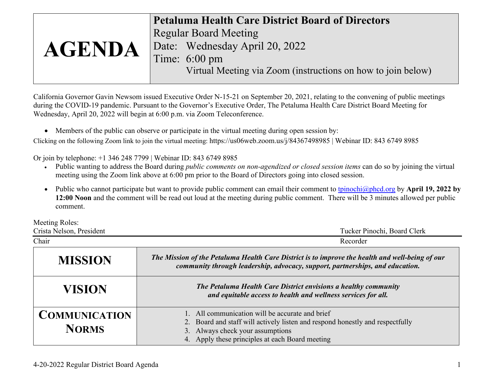|               | <b>Petaluma Health Care District Board of Directors</b>      |
|---------------|--------------------------------------------------------------|
|               | <b>Regular Board Meeting</b>                                 |
| <b>AGENDA</b> | Date: Wednesday April 20, 2022                               |
|               | Time: 6:00 pm                                                |
|               | Virtual Meeting via Zoom (instructions on how to join below) |

California Governor Gavin Newsom issued Executive Order N-15-21 on September 20, 2021, relating to the convening of public meetings during the COVID-19 pandemic. Pursuant to the Governor's Executive Order, The Petaluma Health Care District Board Meeting for Wednesday, April 20, 2022 will begin at 6:00 p.m. via Zoom Teleconference.

• Members of the public can observe or participate in the virtual meeting during open session by:

Clicking on the following Zoom link to join the virtual meeting: https://us06web.zoom.us/j/84367498985 | Webinar ID: 843 6749 8985

Or join by telephone: +1 346 248 7799 | Webinar ID: 843 6749 8985

- Public wanting to address the Board during *public comments on non-agendized or closed session items* can do so by joining the virtual meeting using the Zoom link above at 6:00 pm prior to the Board of Directors going into closed session.
- Public who cannot participate but want to provide public comment can email their comment to [tpinochi@phcd.org](mailto:tpinochi@phcd.org) by **April 19, 2022 by 12:00 Noon** and the comment will be read out loud at the meeting during public comment. There will be 3 minutes allowed per public comment.

Meeting Roles:

| Crista Nelson, President             | Tucker Pinochi, Board Clerk                                                                                                                                                                                          |  |
|--------------------------------------|----------------------------------------------------------------------------------------------------------------------------------------------------------------------------------------------------------------------|--|
| Chair                                | Recorder                                                                                                                                                                                                             |  |
| <b>MISSION</b>                       | The Mission of the Petaluma Health Care District is to improve the health and well-being of our<br>community through leadership, advocacy, support, partnerships, and education.                                     |  |
| <b>VISION</b>                        | The Petaluma Health Care District envisions a healthy community<br>and equitable access to health and wellness services for all.                                                                                     |  |
| <b>COMMUNICATION</b><br><b>NORMS</b> | All communication will be accurate and brief<br>2. Board and staff will actively listen and respond honestly and respectfully<br>3. Always check your assumptions<br>4. Apply these principles at each Board meeting |  |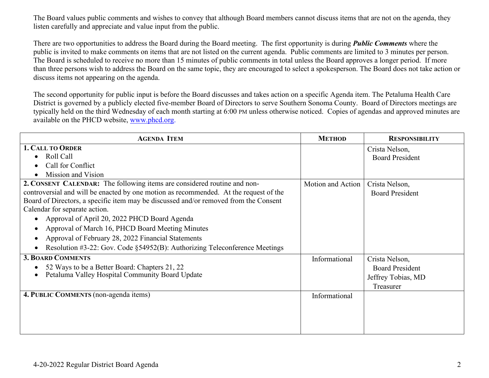The Board values public comments and wishes to convey that although Board members cannot discuss items that are not on the agenda, they listen carefully and appreciate and value input from the public.

There are two opportunities to address the Board during the Board meeting. The first opportunity is during *Public Comments* where the public is invited to make comments on items that are not listed on the current agenda. Public comments are limited to 3 minutes per person. The Board is scheduled to receive no more than 15 minutes of public comments in total unless the Board approves a longer period. If more than three persons wish to address the Board on the same topic, they are encouraged to select a spokesperson. The Board does not take action or discuss items not appearing on the agenda.

The second opportunity for public input is before the Board discusses and takes action on a specific Agenda item. The Petaluma Health Care District is governed by a publicly elected five-member Board of Directors to serve Southern Sonoma County. Board of Directors meetings are typically held on the third Wednesday of each month starting at 6:00 PM unless otherwise noticed. Copies of agendas and approved minutes are available on the PHCD website, [www.phcd.org.](http://www.phcd.org/)

| <b>AGENDA ITEM</b>                                                                          | <b>METHOD</b>     | <b>RESPONSIBILITY</b>  |
|---------------------------------------------------------------------------------------------|-------------------|------------------------|
| <b>1. CALL TO ORDER</b>                                                                     |                   | Crista Nelson,         |
| Roll Call                                                                                   |                   | <b>Board President</b> |
| Call for Conflict                                                                           |                   |                        |
| Mission and Vision                                                                          |                   |                        |
| 2. CONSENT CALENDAR: The following items are considered routine and non-                    | Motion and Action | Crista Nelson,         |
| controversial and will be enacted by one motion as recommended. At the request of the       |                   | <b>Board President</b> |
| Board of Directors, a specific item may be discussed and/or removed from the Consent        |                   |                        |
| Calendar for separate action.                                                               |                   |                        |
| Approval of April 20, 2022 PHCD Board Agenda                                                |                   |                        |
| Approval of March 16, PHCD Board Meeting Minutes                                            |                   |                        |
| Approval of February 28, 2022 Financial Statements<br>$\bullet$                             |                   |                        |
| Resolution #3-22: Gov. Code $\S$ 54952(B): Authorizing Teleconference Meetings<br>$\bullet$ |                   |                        |
| <b>3. BOARD COMMENTS</b>                                                                    | Informational     | Crista Nelson,         |
| 52 Ways to be a Better Board: Chapters 21, 22                                               |                   | <b>Board President</b> |
| Petaluma Valley Hospital Community Board Update                                             |                   | Jeffrey Tobias, MD     |
|                                                                                             |                   | Treasurer              |
| 4. PUBLIC COMMENTS (non-agenda items)                                                       | Informational     |                        |
|                                                                                             |                   |                        |
|                                                                                             |                   |                        |
|                                                                                             |                   |                        |
|                                                                                             |                   |                        |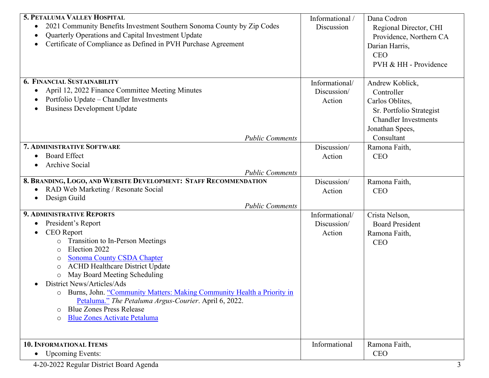| 5. PETALUMA VALLEY HOSPITAL                                                         | Informational / | Dana Codron                 |
|-------------------------------------------------------------------------------------|-----------------|-----------------------------|
| 2021 Community Benefits Investment Southern Sonoma County by Zip Codes<br>$\bullet$ | Discussion      | Regional Director, CHI      |
| Quarterly Operations and Capital Investment Update                                  |                 | Providence, Northern CA     |
| Certificate of Compliance as Defined in PVH Purchase Agreement                      |                 | Darian Harris,              |
|                                                                                     |                 | <b>CEO</b>                  |
|                                                                                     |                 | PVH & HH - Providence       |
|                                                                                     |                 |                             |
| <b>6. FINANCIAL SUSTAINABILITY</b>                                                  | Informational/  | Andrew Koblick,             |
| April 12, 2022 Finance Committee Meeting Minutes                                    | Discussion/     | Controller                  |
| Portfolio Update - Chandler Investments                                             | Action          | Carlos Oblites,             |
| <b>Business Development Update</b>                                                  |                 | Sr. Portfolio Strategist    |
|                                                                                     |                 | <b>Chandler Investments</b> |
|                                                                                     |                 | Jonathan Spees,             |
| <b>Public Comments</b>                                                              |                 | Consultant                  |
| 7. ADMINISTRATIVE SOFTWARE                                                          | Discussion/     | Ramona Faith,               |
| <b>Board Effect</b>                                                                 | Action          | <b>CEO</b>                  |
| <b>Archive Social</b>                                                               |                 |                             |
| <b>Public Comments</b>                                                              |                 |                             |
| 8. BRANDING, LOGO, AND WEBSITE DEVELOPMENT: STAFF RECOMMENDATION                    | Discussion/     | Ramona Faith,               |
| RAD Web Marketing / Resonate Social                                                 | Action          | <b>CEO</b>                  |
| Design Guild                                                                        |                 |                             |
| <b>Public Comments</b>                                                              |                 |                             |
| <b>9. ADMINISTRATIVE REPORTS</b>                                                    | Informational/  | Crista Nelson,              |
| President's Report<br>$\bullet$                                                     | Discussion/     | <b>Board President</b>      |
| <b>CEO</b> Report                                                                   | Action          | Ramona Faith,               |
| <b>Transition to In-Person Meetings</b><br>$\circ$                                  |                 | <b>CEO</b>                  |
| Election 2022<br>$\circ$                                                            |                 |                             |
| <b>Sonoma County CSDA Chapter</b><br>O<br><b>ACHD Healthcare District Update</b>    |                 |                             |
| $\circ$<br>May Board Meeting Scheduling                                             |                 |                             |
| $\circ$<br>District News/Articles/Ads                                               |                 |                             |
| Burns, John. "Community Matters: Making Community Health a Priority in<br>O         |                 |                             |
| Petaluma." The Petaluma Argus-Courier. April 6, 2022.                               |                 |                             |
| <b>Blue Zones Press Release</b><br>O                                                |                 |                             |
| <b>Blue Zones Activate Petaluma</b><br>$\circ$                                      |                 |                             |
|                                                                                     |                 |                             |
|                                                                                     |                 |                             |
| <b>10. INFORMATIONAL ITEMS</b>                                                      | Informational   | Ramona Faith,               |
| • Upcoming Events:                                                                  |                 | <b>CEO</b>                  |

4-20-2022 Regular District Board Agenda 3